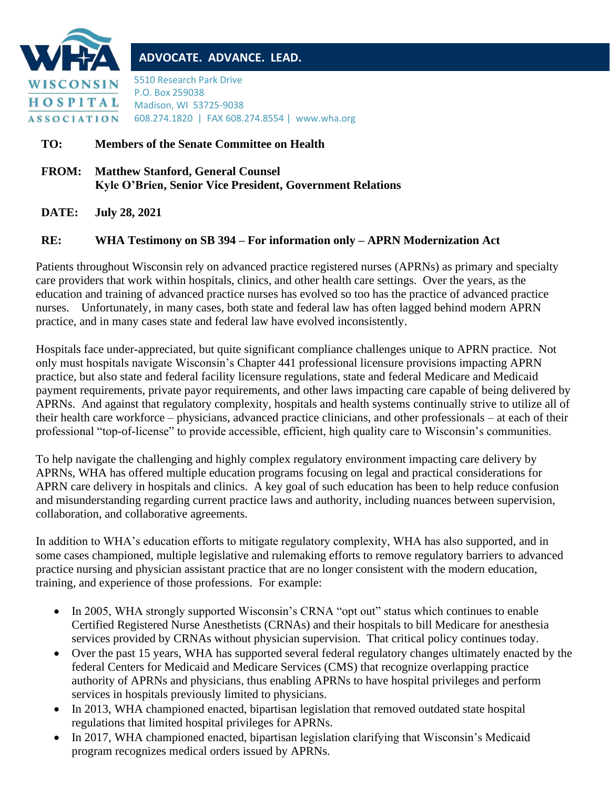

## **ADVOCATE. ADVANCE. LEAD.**

5510 Research Park Drive P.O. Box 259038 Madison, WI 53725-9038 608.274.1820 | FAX 608.274.8554 | www.wha.org

## **TO: Members of the Senate Committee on Health**

**FROM: Matthew Stanford, General Counsel Kyle O'Brien, Senior Vice President, Government Relations**

**DATE: July 28, 2021**

## **RE: WHA Testimony on SB 394 – For information only – APRN Modernization Act**

Patients throughout Wisconsin rely on advanced practice registered nurses (APRNs) as primary and specialty care providers that work within hospitals, clinics, and other health care settings. Over the years, as the education and training of advanced practice nurses has evolved so too has the practice of advanced practice nurses. Unfortunately, in many cases, both state and federal law has often lagged behind modern APRN practice, and in many cases state and federal law have evolved inconsistently.

Hospitals face under-appreciated, but quite significant compliance challenges unique to APRN practice. Not only must hospitals navigate Wisconsin's Chapter 441 professional licensure provisions impacting APRN practice, but also state and federal facility licensure regulations, state and federal Medicare and Medicaid payment requirements, private payor requirements, and other laws impacting care capable of being delivered by APRNs. And against that regulatory complexity, hospitals and health systems continually strive to utilize all of their health care workforce – physicians, advanced practice clinicians, and other professionals – at each of their professional "top-of-license" to provide accessible, efficient, high quality care to Wisconsin's communities.

To help navigate the challenging and highly complex regulatory environment impacting care delivery by APRNs, WHA has offered multiple education programs focusing on legal and practical considerations for APRN care delivery in hospitals and clinics. A key goal of such education has been to help reduce confusion and misunderstanding regarding current practice laws and authority, including nuances between supervision, collaboration, and collaborative agreements.

In addition to WHA's education efforts to mitigate regulatory complexity, WHA has also supported, and in some cases championed, multiple legislative and rulemaking efforts to remove regulatory barriers to advanced practice nursing and physician assistant practice that are no longer consistent with the modern education, training, and experience of those professions. For example:

- In 2005, WHA strongly supported Wisconsin's CRNA "opt out" status which continues to enable Certified Registered Nurse Anesthetists (CRNAs) and their hospitals to bill Medicare for anesthesia services provided by CRNAs without physician supervision. That critical policy continues today.
- Over the past 15 years, WHA has supported several federal regulatory changes ultimately enacted by the federal Centers for Medicaid and Medicare Services (CMS) that recognize overlapping practice authority of APRNs and physicians, thus enabling APRNs to have hospital privileges and perform services in hospitals previously limited to physicians.
- In 2013, WHA championed enacted, bipartisan legislation that removed outdated state hospital regulations that limited hospital privileges for APRNs.
- In 2017, WHA championed enacted, bipartisan legislation clarifying that Wisconsin's Medicaid program recognizes medical orders issued by APRNs.